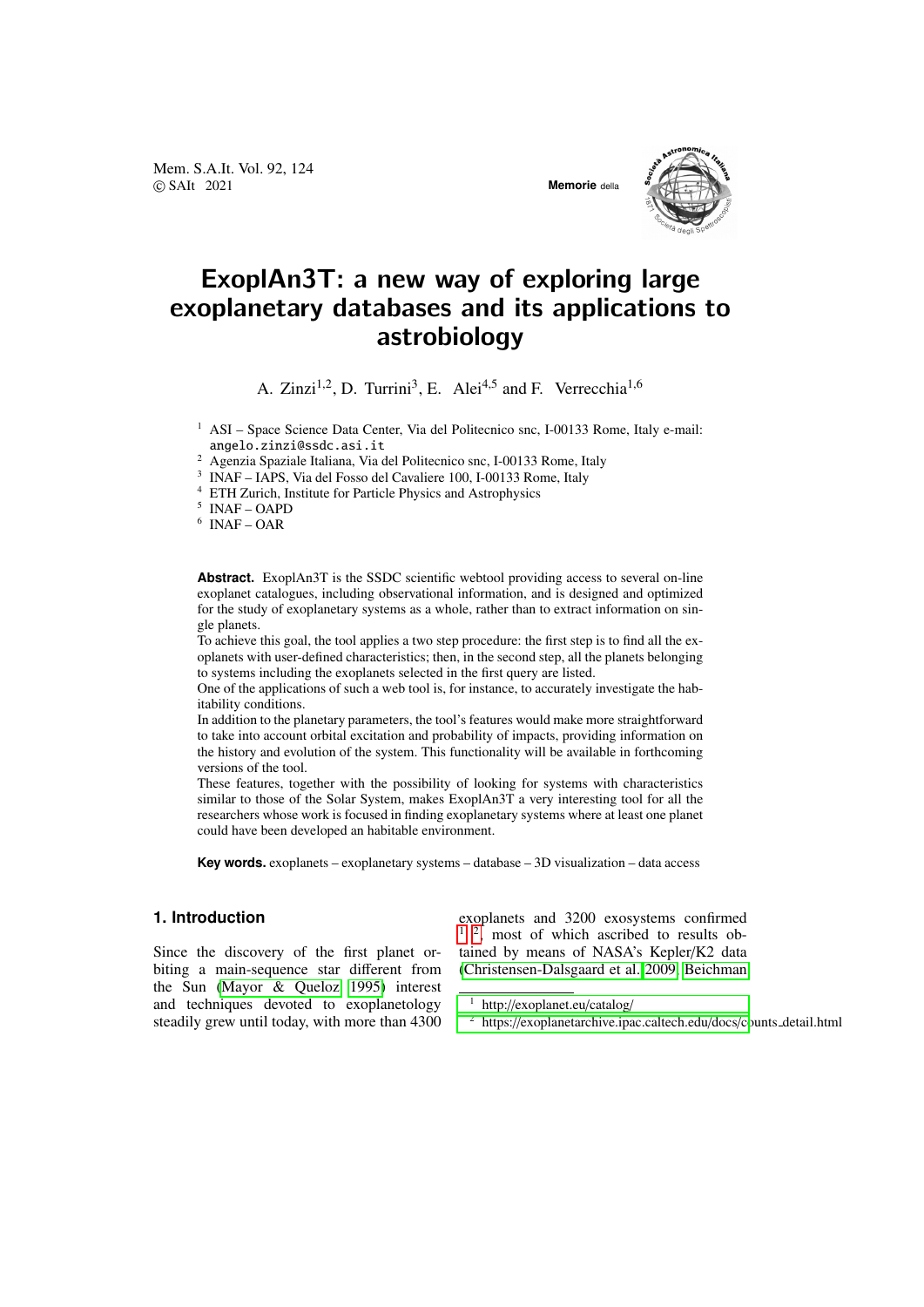Mem. S.A.It. Vol. 92, 124 © SAIt 2021 **Memorie** della





# ExoplAn3T: a new way of exploring large exoplanetary databases and its applications to astrobiology

A. Zinzi<sup>1,2</sup>, D. Turrini<sup>3</sup>, E. Alei<sup>4,5</sup> and F. Verrecchia<sup>1,6</sup>

<sup>1</sup> ASI – Space Science Data Center, Via del Politecnico snc, I-00133 Rome, Italy e-mail: angelo.zinzi@ssdc.asi.it

<sup>2</sup> Agenzia Spaziale Italiana, Via del Politecnico snc, I-00133 Rome, Italy

3 INAF – IAPS, Via del Fosso del Cavaliere 100, I-00133 Rome, Italy

<sup>4</sup> ETH Zurich, Institute for Particle Physics and Astrophysics

5 INAF – OAPD

6 INAF – OAR

**Abstract.** ExoplAn3T is the SSDC scientific webtool providing access to several on-line exoplanet catalogues, including observational information, and is designed and optimized for the study of exoplanetary systems as a whole, rather than to extract information on single planets.

To achieve this goal, the tool applies a two step procedure: the first step is to find all the exoplanets with user-defined characteristics; then, in the second step, all the planets belonging to systems including the exoplanets selected in the first query are listed.

One of the applications of such a web tool is, for instance, to accurately investigate the habitability conditions.

In addition to the planetary parameters, the tool's features would make more straightforward to take into account orbital excitation and probability of impacts, providing information on the history and evolution of the system. This functionality will be available in forthcoming versions of the tool.

These features, together with the possibility of looking for systems with characteristics similar to those of the Solar System, makes ExoplAn3T a very interesting tool for all the researchers whose work is focused in finding exoplanetary systems where at least one planet could have been developed an habitable environment.

**Key words.** exoplanets – exoplanetary systems – database – 3D visualization – data access

# **1. Introduction**

Since the discovery of the first planet orbiting a main-sequence star different from the Sun [\(Mayor & Queloz 1995\)](#page-3-0) interest and techniques devoted to exoplanetology steadily grew until today, with more than 4300 exoplanets and 3200 exosystems confirmed  $1^2$  $1^2$ , most of which ascribed to results obtained by means of NASA's Kepler/K2 data [\(Christensen-Dalsgaard et al. 2009,](#page-3-1) [Beichman](#page-3-2)

<span id="page-0-1"></span><sup>2</sup> https://[exoplanetarchive.ipac.caltech.edu](#page-3-2)/docs/counts\_detail.html

<span id="page-0-0"></span><sup>1</sup> http://[exoplanet.eu](#page-3-2)/catalog/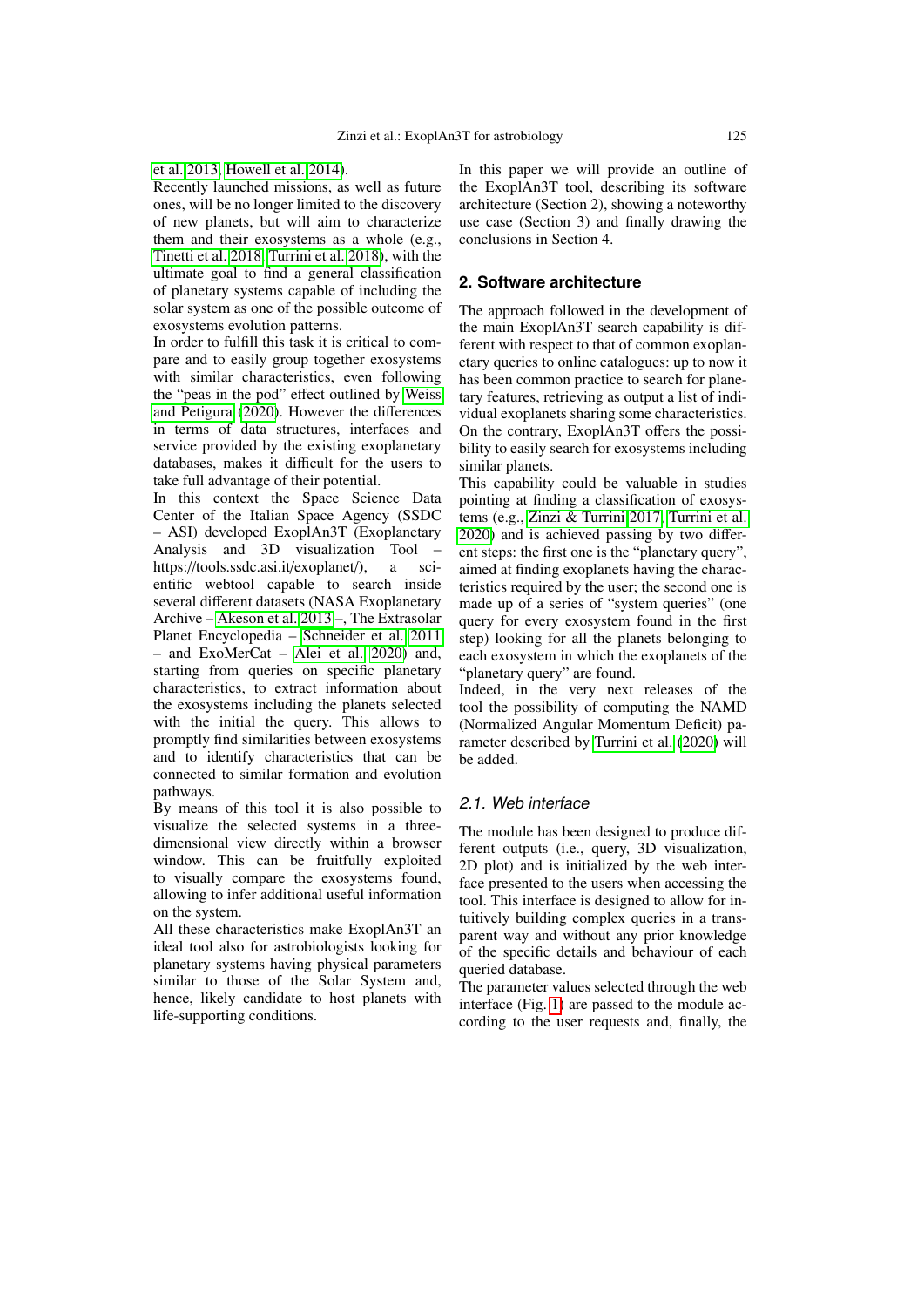#### [et al. 2013,](#page-3-2) [Howell et al. 2014\)](#page-3-3).

Recently launched missions, as well as future ones, will be no longer limited to the discovery of new planets, but will aim to characterize them and their exosystems as a whole (e.g., [Tinetti et al. 2018,](#page-3-4) [Turrini et al. 2018\)](#page-3-5), with the ultimate goal to find a general classification of planetary systems capable of including the solar system as one of the possible outcome of exosystems evolution patterns.

In order to fulfill this task it is critical to compare and to easily group together exosystems with similar characteristics, even following the "peas in the pod" effect outlined by [Weiss](#page-3-6) [and Petigura](#page-3-6) [\(2020\)](#page-3-6). However the differences in terms of data structures, interfaces and service provided by the existing exoplanetary databases, makes it difficult for the users to take full advantage of their potential.

In this context the Space Science Data Center of the Italian Space Agency (SSDC – ASI) developed ExoplAn3T (Exoplanetary Analysis and 3D visualization Tool – https://tools.ssdc.asi.it/exoplanet/), a scientific webtool capable to search inside several different datasets (NASA Exoplanetary Archive – [Akeson et al. 2013](#page-3-7) –, The Extrasolar Planet Encyclopedia – [Schneider et al. 2011](#page-3-8) – and ExoMerCat – [Alei et al. 2020\)](#page-3-9) and, starting from queries on specific planetary characteristics, to extract information about the exosystems including the planets selected with the initial the query. This allows to promptly find similarities between exosystems and to identify characteristics that can be connected to similar formation and evolution pathways.

By means of this tool it is also possible to visualize the selected systems in a threedimensional view directly within a browser window. This can be fruitfully exploited to visually compare the exosystems found, allowing to infer additional useful information on the system.

All these characteristics make ExoplAn3T an ideal tool also for astrobiologists looking for planetary systems having physical parameters similar to those of the Solar System and, hence, likely candidate to host planets with life-supporting conditions.

In this paper we will provide an outline of the ExoplAn3T tool, describing its software architecture (Section 2), showing a noteworthy use case (Section 3) and finally drawing the conclusions in Section 4.

#### **2. Software architecture**

The approach followed in the development of the main ExoplAn3T search capability is different with respect to that of common exoplanetary queries to online catalogues: up to now it has been common practice to search for planetary features, retrieving as output a list of individual exoplanets sharing some characteristics. On the contrary, ExoplAn3T offers the possibility to easily search for exosystems including similar planets.

This capability could be valuable in studies pointing at finding a classification of exosystems (e.g., [Zinzi & Turrini 2017,](#page-3-10) [Turrini et al.](#page-3-11) [2020\)](#page-3-11) and is achieved passing by two different steps: the first one is the "planetary query", aimed at finding exoplanets having the characteristics required by the user; the second one is made up of a series of "system queries" (one query for every exosystem found in the first step) looking for all the planets belonging to each exosystem in which the exoplanets of the "planetary query" are found.

Indeed, in the very next releases of the tool the possibility of computing the NAMD (Normalized Angular Momentum Deficit) parameter described by [Turrini et al.](#page-3-11) [\(2020\)](#page-3-11) will be added.

### 2.1. Web interface

The module has been designed to produce different outputs (i.e., query, 3D visualization, 2D plot) and is initialized by the web interface presented to the users when accessing the tool. This interface is designed to allow for intuitively building complex queries in a transparent way and without any prior knowledge of the specific details and behaviour of each queried database.

The parameter values selected through the web interface (Fig. [1\)](#page-2-0) are passed to the module according to the user requests and, finally, the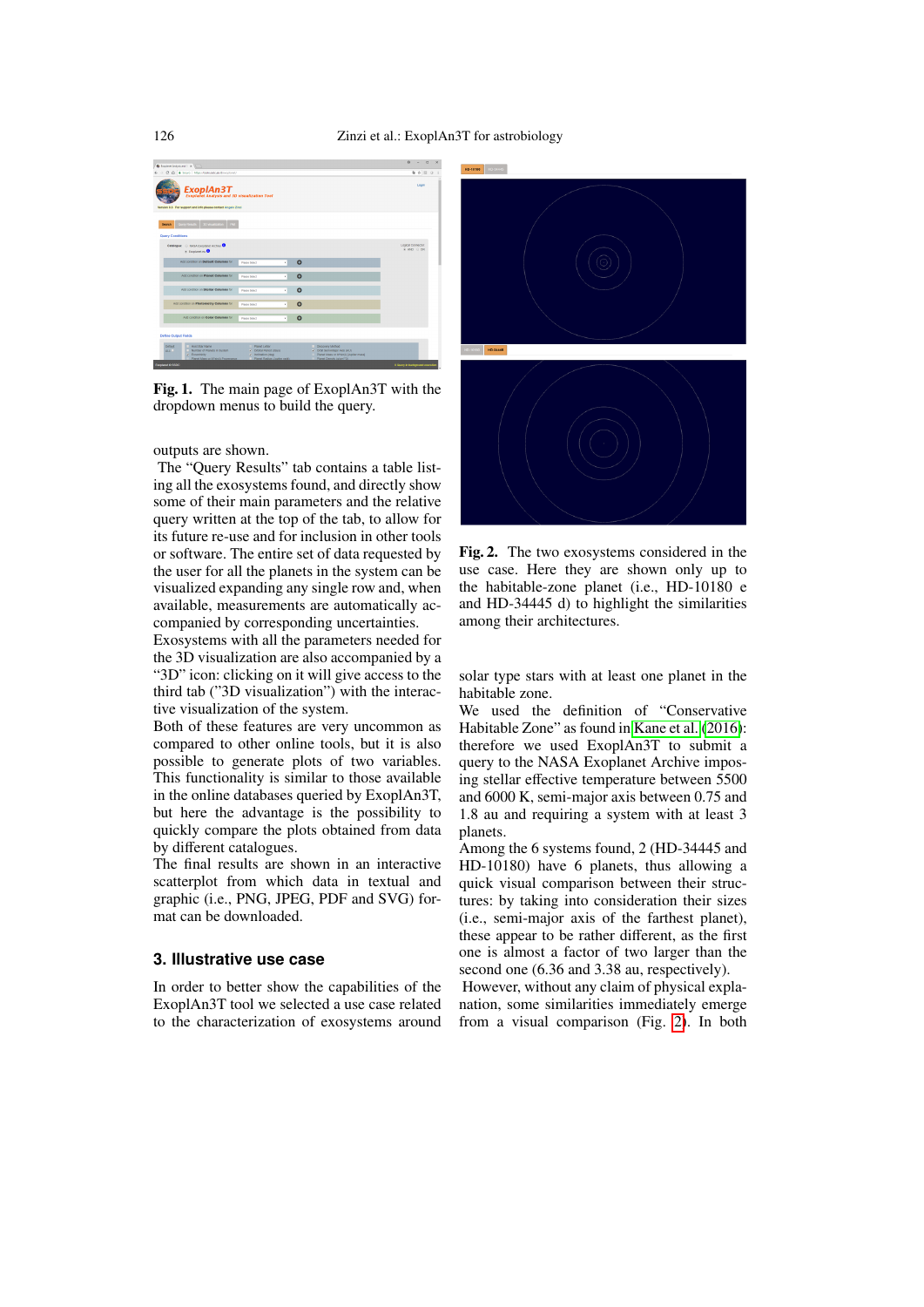

Fig. 1. The main page of ExoplAn3T with the dropdown menus to build the query.

#### <span id="page-2-0"></span>outputs are shown.

The "Query Results" tab contains a table listing all the exosystems found, and directly show some of their main parameters and the relative query written at the top of the tab, to allow for its future re-use and for inclusion in other tools or software. The entire set of data requested by the user for all the planets in the system can be visualized expanding any single row and, when available, measurements are automatically accompanied by corresponding uncertainties.

Exosystems with all the parameters needed for the 3D visualization are also accompanied by a "3D" icon: clicking on it will give access to the third tab ("3D visualization") with the interactive visualization of the system.

Both of these features are very uncommon as compared to other online tools, but it is also possible to generate plots of two variables. This functionality is similar to those available in the online databases queried by ExoplAn3T, but here the advantage is the possibility to quickly compare the plots obtained from data by different catalogues.

The final results are shown in an interactive scatterplot from which data in textual and graphic (i.e., PNG, JPEG, PDF and SVG) format can be downloaded.

## **3. Illustrative use case**

In order to better show the capabilities of the ExoplAn3T tool we selected a use case related to the characterization of exosystems around



Fig. 2. The two exosystems considered in the use case. Here they are shown only up to the habitable-zone planet (i.e., HD-10180 e and HD-34445 d) to highlight the similarities among their architectures.

<span id="page-2-1"></span>solar type stars with at least one planet in the habitable zone.

We used the definition of "Conservative Habitable Zone" as found in [Kane et al.](#page-3-12) [\(2016\)](#page-3-12): therefore we used ExoplAn3T to submit a query to the NASA Exoplanet Archive imposing stellar effective temperature between 5500 and 6000 K, semi-major axis between 0.75 and 1.8 au and requiring a system with at least 3 planets.

Among the 6 systems found, 2 (HD-34445 and HD-10180) have 6 planets, thus allowing a quick visual comparison between their structures: by taking into consideration their sizes (i.e., semi-major axis of the farthest planet), these appear to be rather different, as the first one is almost a factor of two larger than the second one (6.36 and 3.38 au, respectively).

However, without any claim of physical explanation, some similarities immediately emerge from a visual comparison (Fig. [2\)](#page-2-1). In both